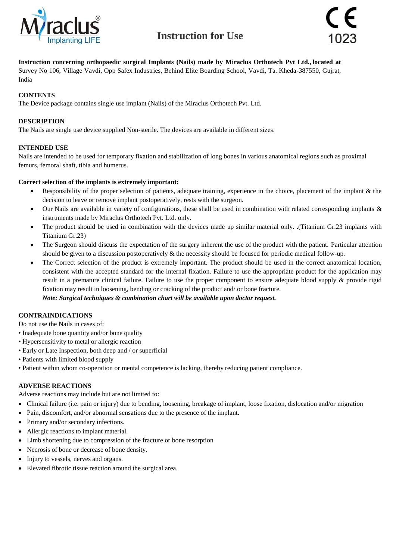



#### **Instruction concerning orthopaedic surgical Implants (Nails) made by Miraclus Orthotech Pvt Ltd., located at**

Survey No 106, Village Vavdi, Opp Safex Industries, Behind Elite Boarding School, Vavdi, Ta. Kheda-387550, Gujrat, India

#### **CONTENTS**

The Device package contains single use implant (Nails) of the Miraclus Orthotech Pvt. Ltd.

#### **DESCRIPTION**

The Nails are single use device supplied Non-sterile. The devices are available in different sizes.

#### **INTENDED USE**

Nails are intended to be used for temporary fixation and stabilization of long bones in various anatomical regions such as proximal femurs, femoral shaft, tibia and humerus.

#### **Correct selection of the implants is extremely important:**

- Responsibility of the proper selection of patients, adequate training, experience in the choice, placement of the implant & the decision to leave or remove implant postoperatively, rests with the surgeon.
- $\bullet$  Our Nails are available in variety of configurations, these shall be used in combination with related corresponding implants & instruments made by Miraclus Orthotech Pvt. Ltd. only.
- The product should be used in combination with the devices made up similar material only. .(Titanium Gr.23 implants with Titanium Gr.23)
- The Surgeon should discuss the expectation of the surgery inherent the use of the product with the patient. Particular attention should be given to a discussion postoperatively & the necessity should be focused for periodic medical follow-up.
- The Correct selection of the product is extremely important. The product should be used in the correct anatomical location, consistent with the accepted standard for the internal fixation. Failure to use the appropriate product for the application may result in a premature clinical failure. Failure to use the proper component to ensure adequate blood supply & provide rigid fixation may result in loosening, bending or cracking of the product and/ or bone fracture. *Note: Surgical techniques & combination chart will be available upon doctor request.*

#### **CONTRAINDICATIONS**

Do not use the Nails in cases of:

- Inadequate bone quantity and/or bone quality
- Hypersensitivity to metal or allergic reaction
- Early or Late Inspection, both deep and / or superficial
- Patients with limited blood supply
- Patient within whom co-operation or mental competence is lacking, thereby reducing patient compliance.

### **ADVERSE REACTIONS**

Adverse reactions may include but are not limited to:

- Clinical failure (i.e. pain or injury) due to bending, loosening, breakage of implant, loose fixation, dislocation and/or migration
- Pain, discomfort, and/or abnormal sensations due to the presence of the implant.
- Primary and/or secondary infections.
- Allergic reactions to implant material.
- Limb shortening due to compression of the fracture or bone resorption
- Necrosis of bone or decrease of bone density.
- Injury to vessels, nerves and organs.
- Elevated fibrotic tissue reaction around the surgical area.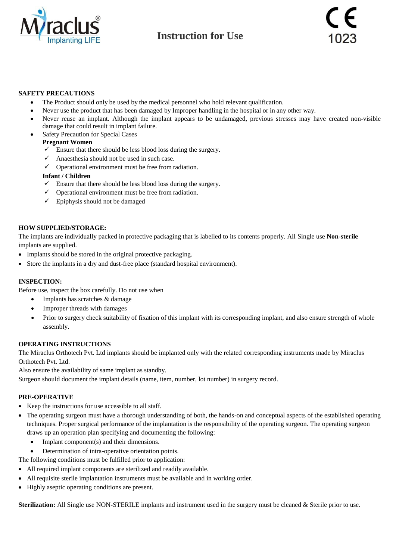

#### **SAFETY PRECAUTIONS**

- The Product should only be used by the medical personnel who hold relevant qualification.
- Never use the product that has been damaged by Improper handling in the hospital or in any other way.
- Never reuse an implant. Although the implant appears to be undamaged, previous stresses may have created non-visible damage that could result in implant failure.
- Safety Precaution for Special Cases

## **Pregnant Women**

- $\checkmark$  Ensure that there should be less blood loss during the surgery.
- $\checkmark$  Anaesthesia should not be used in such case.
- $\checkmark$  Operational environment must be free from radiation.

#### **Infant / Children**

- $\checkmark$  Ensure that there should be less blood loss during the surgery.
- $\checkmark$  Operational environment must be free from radiation.
- $\checkmark$  Epiphysis should not be damaged

#### **HOW SUPPLIED/STORAGE:**

The implants are individually packed in protective packaging that is labelled to its contents properly. All Single use **Non-sterile** implants are supplied.

- Implants should be stored in the original protective packaging.
- Store the implants in a dry and dust-free place (standard hospital environment).

#### **INSPECTION:**

Before use, inspect the box carefully. Do not use when

- Implants has scratches & damage
- Improper threads with damages
- Prior to surgery check suitability of fixation of this implant with its corresponding implant, and also ensure strength of whole assembly.

#### **OPERATING INSTRUCTIONS**

The Miraclus Orthotech Pvt. Ltd implants should be implanted only with the related corresponding instruments made by Miraclus Orthotech Pvt. Ltd.

Also ensure the availability of same implant as standby.

Surgeon should document the implant details (name, item, number, lot number) in surgery record.

#### **PRE-OPERATIVE**

- Keep the instructions for use accessible to all staff.
- The operating surgeon must have a thorough understanding of both, the hands-on and conceptual aspects of the established operating techniques. Proper surgical performance of the implantation is the responsibility of the operating surgeon. The operating surgeon draws up an operation plan specifying and documenting the following:
	- Implant component(s) and their dimensions.
	- Determination of intra-operative orientation points.

The following conditions must be fulfilled prior to application:

- All required implant components are sterilized and readily available.
- All requisite sterile implantation instruments must be available and in working order.
- Highly aseptic operating conditions are present.

**Sterilization:** All Single use NON-STERILE implants and instrument used in the surgery must be cleaned & Sterile prior to use.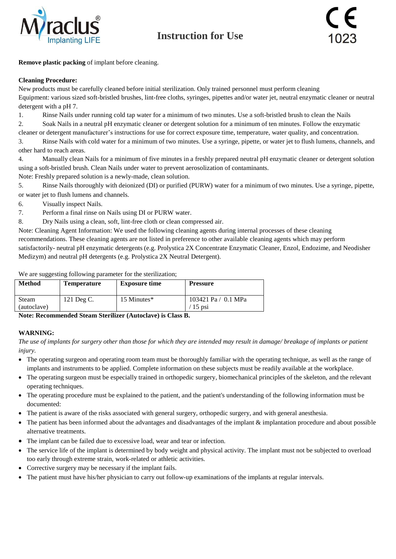



**Remove plastic packing** of implant before cleaning.

### **Cleaning Procedure:**

New products must be carefully cleaned before initial sterilization. Only trained personnel must perform cleaning Equipment: various sized soft-bristled brushes, lint-free cloths, syringes, pipettes and/or water jet, neutral enzymatic cleaner or neutral detergent with a pH 7.

1. Rinse Nails under running cold tap water for a minimum of two minutes. Use a soft-bristled brush to clean the Nails

2. Soak Nails in a neutral pH enzymatic cleaner or detergent solution for a minimum of ten minutes. Follow the enzymatic cleaner or detergent manufacturer's instructions for use for correct exposure time, temperature, water quality, and concentration.

3. Rinse Nails with cold water for a minimum of two minutes. Use a syringe, pipette, or water jet to flush lumens, channels, and other hard to reach areas.

4. Manually clean Nails for a minimum of five minutes in a freshly prepared neutral pH enzymatic cleaner or detergent solution using a soft-bristled brush. Clean Nails under water to prevent aerosolization of contaminants.

Note: Freshly prepared solution is a newly-made, clean solution.

5. Rinse Nails thoroughly with deionized (DI) or purified (PURW) water for a minimum of two minutes. Use a syringe, pipette, or water jet to flush lumens and channels.

6. Visually inspect Nails.

7. Perform a final rinse on Nails using DI or PURW water.

8. Dry Nails using a clean, soft, lint-free cloth or clean compressed air.

Note: Cleaning Agent Information: We used the following cleaning agents during internal processes of these cleaning

recommendations. These cleaning agents are not listed in preference to other available cleaning agents which may perform

satisfactorily- neutral pH enzymatic detergents (e.g. Prolystica 2X Concentrate Enzymatic Cleaner, Enzol, Endozime, and Neodisher Medizym) and neutral pH detergents (e.g. Prolystica 2X Neutral Detergent).

We are suggesting following parameter for the sterilization;

| <b>Method</b>        | Temperature | <b>Exposure time</b> | <b>Pressure</b>                        |
|----------------------|-------------|----------------------|----------------------------------------|
| Steam<br>(autoclave) | 121 Deg C.  | 15 Minutes*          | 103421 Pa / 0.1 MPa<br>$\sqrt{15}$ psi |

**Note: Recommended Steam Sterilizer (Autoclave) is Class B.**

### **WARNING:**

*The use of implants for surgery other than those for which they are intended may result in damage/ breakage of implants or patient injury.*

- The operating surgeon and operating room team must be thoroughly familiar with the operating technique, as well as the range of implants and instruments to be applied. Complete information on these subjects must be readily available at the workplace.
- The operating surgeon must be especially trained in orthopedic surgery, biomechanical principles of the skeleton, and the relevant operating techniques.
- The operating procedure must be explained to the patient, and the patient's understanding of the following information must be documented:
- The patient is aware of the risks associated with general surgery, orthopedic surgery, and with general anesthesia.
- The patient has been informed about the advantages and disadvantages of the implant & implantation procedure and about possible alternative treatments.
- The implant can be failed due to excessive load, wear and tear or infection.
- The service life of the implant is determined by body weight and physical activity. The implant must not be subjected to overload too early through extreme strain, work-related or athletic activities.
- Corrective surgery may be necessary if the implant fails.
- The patient must have his/her physician to carry out follow-up examinations of the implants at regular intervals.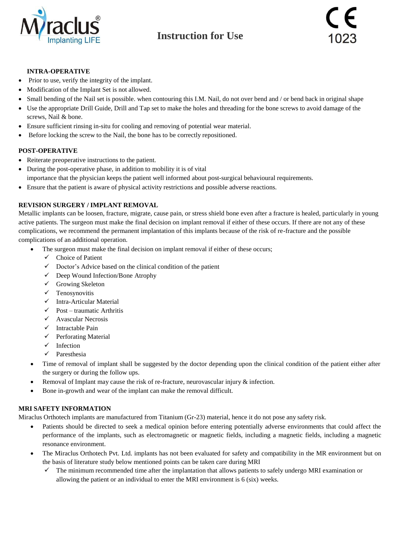



#### **INTRA-OPERATIVE**

- Prior to use, verify the integrity of the implant.
- Modification of the Implant Set is not allowed.
- Small bending of the Nail set is possible. when contouring this I.M. Nail, do not over bend and / or bend back in original shape
- Use the appropriate Drill Guide, Drill and Tap set to make the holes and threading for the bone screws to avoid damage of the screws, Nail & bone.
- Ensure sufficient rinsing in-situ for cooling and removing of potential wear material.
- Before locking the screw to the Nail, the bone has to be correctly repositioned.

#### **POST-OPERATIVE**

- Reiterate preoperative instructions to the patient.
- During the post-operative phase, in addition to mobility it is of vital importance that the physician keeps the patient well informed about post-surgical behavioural requirements.
- Ensure that the patient is aware of physical activity restrictions and possible adverse reactions.

#### **REVISION SURGERY / IMPLANT REMOVAL**

Metallic implants can be loosen, fracture, migrate, cause pain, or stress shield bone even after a fracture is healed, particularly in young active patients. The surgeon must make the final decision on implant removal if either of these occurs. If there are not any of these complications, we recommend the permanent implantation of this implants because of the risk of re-fracture and the possible complications of an additional operation.

- The surgeon must make the final decision on implant removal if either of these occurs;
	- $\checkmark$  Choice of Patient
	- $\checkmark$  Doctor's Advice based on the clinical condition of the patient
	- Deep Wound Infection/Bone Atrophy
	- $\checkmark$  Growing Skeleton
	- $\checkmark$  Tenosynovitis
	- $\checkmark$  Intra-Articular Material
	- $\checkmark$  Post traumatic Arthritis
	- $\checkmark$  Avascular Necrosis
	- $\checkmark$  Intractable Pain
	- $\checkmark$  Perforating Material
	- $\checkmark$  Infection
	- $\checkmark$  Paresthesia
- Time of removal of implant shall be suggested by the doctor depending upon the clinical condition of the patient either after the surgery or during the follow ups.
- Removal of Implant may cause the risk of re-fracture, neurovascular injury & infection.
- Bone in-growth and wear of the implant can make the removal difficult.

#### **MRI SAFETY INFORMATION**

Miraclus Orthotech implants are manufactured from Titanium (Gr-23) material, hence it do not pose any safety risk.

- Patients should be directed to seek a medical opinion before entering potentially adverse environments that could affect the performance of the implants, such as electromagnetic or magnetic fields, including a magnetic fields, including a magnetic resonance environment.
- The Miraclus Orthotech Pvt. Ltd. implants has not been evaluated for safety and compatibility in the MR environment but on the basis of literature study below mentioned points can be taken care during MRI
	- $\checkmark$  The minimum recommended time after the implantation that allows patients to safely undergo MRI examination or allowing the patient or an individual to enter the MRI environment is 6 (six) weeks.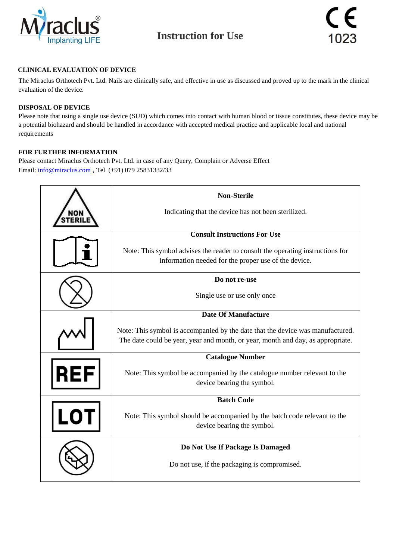



## **CLINICAL EVALUATION OF DEVICE**

The Miraclus Orthotech Pvt. Ltd. Nails are clinically safe, and effective in use as discussed and proved up to the mark in the clinical evaluation of the device.

### **DISPOSAL OF DEVICE**

Please note that using a single use device (SUD) which comes into contact with human blood or tissue constitutes, these device may be a potential biohazard and should be handled in accordance with accepted medical practice and applicable local and national requirements

#### **FOR FURTHER INFORMATION**

Please contact Miraclus Orthotech Pvt. Ltd. in case of any Query, Complain or Adverse Effect Email: [info@miraclus.com](mailto:info@miraclus.com) , Tel (+91) 079 25831332/33

|     | <b>Non-Sterile</b>                                                              |  |  |
|-----|---------------------------------------------------------------------------------|--|--|
|     | Indicating that the device has not been sterilized.                             |  |  |
|     | <b>Consult Instructions For Use</b>                                             |  |  |
|     | Note: This symbol advises the reader to consult the operating instructions for  |  |  |
|     | information needed for the proper use of the device.                            |  |  |
|     | Do not re-use                                                                   |  |  |
|     | Single use or use only once                                                     |  |  |
|     | <b>Date Of Manufacture</b>                                                      |  |  |
|     | Note: This symbol is accompanied by the date that the device was manufactured.  |  |  |
|     | The date could be year, year and month, or year, month and day, as appropriate. |  |  |
|     | <b>Catalogue Number</b>                                                         |  |  |
| REF | Note: This symbol be accompanied by the catalogue number relevant to the        |  |  |
|     | device bearing the symbol.                                                      |  |  |
|     | <b>Batch Code</b>                                                               |  |  |
|     | Note: This symbol should be accompanied by the batch code relevant to the       |  |  |
|     | device bearing the symbol.                                                      |  |  |
|     | Do Not Use If Package Is Damaged                                                |  |  |
|     | Do not use, if the packaging is compromised.                                    |  |  |
|     |                                                                                 |  |  |